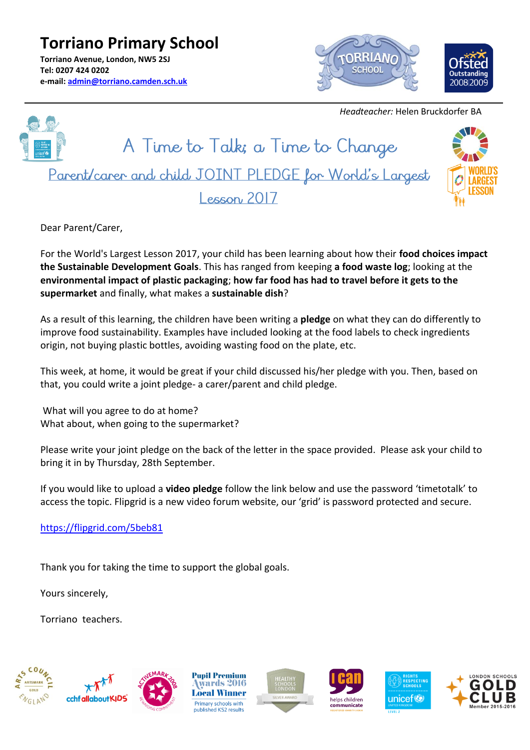**Torriano Primary School Torriano Avenue, London, NW5 2SJ Tel: 0207 424 0202 e-mail: [admin@torriano.camden.sch.uk](mailto:admin@torriano.camden.sch.uk)**



 *Headteacher:* Helen Bruckdorfer BA



Dear Parent/Carer,

For the World's Largest Lesson 2017, your child has been learning about how their **food choices impact the Sustainable Development Goals**. This has ranged from keeping **a food waste log**; looking at the **environmental impact of plastic packaging**; **how far food has had to travel before it gets to the supermarket** and finally, what makes a **sustainable dish**?

As a result of this learning, the children have been writing a **pledge** on what they can do differently to improve food sustainability. Examples have included looking at the food labels to check ingredients origin, not buying plastic bottles, avoiding wasting food on the plate, etc.

This week, at home, it would be great if your child discussed his/her pledge with you. Then, based on that, you could write a joint pledge- a carer/parent and child pledge.

What will you agree to do at home? What about, when going to the supermarket?

Please write your joint pledge on the back of the letter in the space provided. Please ask your child to bring it in by Thursday, 28th September.

If you would like to upload a **video pledge** follow the link below and use the password 'timetotalk' to access the topic. Flipgrid is a new video forum website, our 'grid' is password protected and secure.

<https://flipgrid.com/5beb81>

Thank you for taking the time to support the global goals.

Yours sincerely,

Torriano teachers.













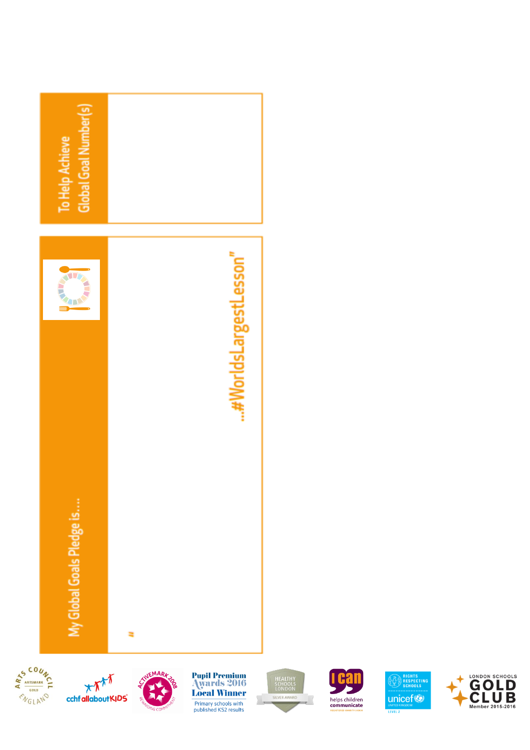







**Pupil Premium<br>Awards 2016<br>Local Winner** Primary schools with<br>published KS2 results